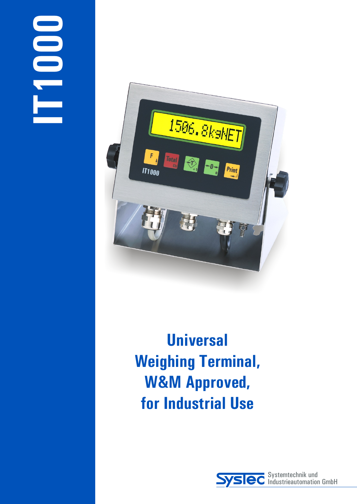

**Universal Weighing Terminal, W&M Approved, for Industrial Use**

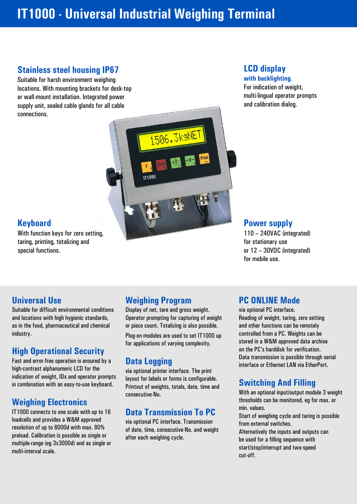# **IT1000 - Universal Industrial Weighing Terminal**

## **Stainless steel housing IP67**

Suitable for harsh environment weighing locations. With mounting brackets for desk-top or wall-mount installation. Integrated power supply unit, sealed cable glands for all cable connections.

# **LCD display**

**with backlighting**.

For indication of weight, multi-lingual operator prompts and calibration dialog.

## **Keyboard**

With function keys for zero setting, taring, printing, totalizing and special functions.

### **Power supply**

110 – 240VAC (integrated) for stationary use or 12 – 30VDC (integrated) for mobile use.

Suitable for difficult environmental conditions Display of net, tare and gross weight. via optional PC interface. and locations with high hygienic standards, and Dperator prompting for capturing of weight and Reading of weight, taring, zero setting as in the food, pharmaceutical and chemical and phenome or piece count. Totalizing is also possible. And other functions can be remotely

# **High Operational Security**

Data transmission is possible through serial experience of the contrast alphanumeric LCD for the via optional printer interface. The print interface or Ethernet LAN via EtherPort.<br>high-contrast alphanumeric LCD for the via indication of weight, IDs and operator prompts layout for labels or forms is configurable. in combination with an easy-to-use keyboard.

### **Weighing Electronics**

T1000 connects to one scale with up to 16<br>
loadcells and provides a W&M approved<br>
resolution of up to 6000d with max. 80%<br>
preload. Calibration is possible as single or<br>
multiple-range (eg 3x3000d) and as single or<br>
multip

### **Universal Use Weighing Program PC ONLINE Mode**

or piece count. Totalizing is also possible.

**1506.3ksNE** 

 $000$ 

for applications of varying complexity.

# **Data Logging**

Printout of weights, totals, date, time and consecutive-No.

### **Data Transmission To PC**

industry.<br>For annications of varying complexity and a stored in a W&M approved data archive on the PC's harddisk for verification.

# **Switching And Filling**

With an optional input/output module 3 weight thresholds can be monitored, eg for max. or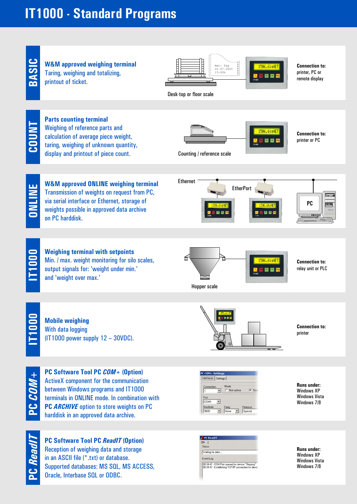# **IT1000 - Standard Programs**



Reception of weighing data and storage in an ASCII file (\*.txt) or database. Supported databases: MS SQL, MS ACCESS, Oracle, Interbase SQL or ODBC.

**PC***Re a*



**Runs under:** Windows XP Windows Vista Windows 7/8